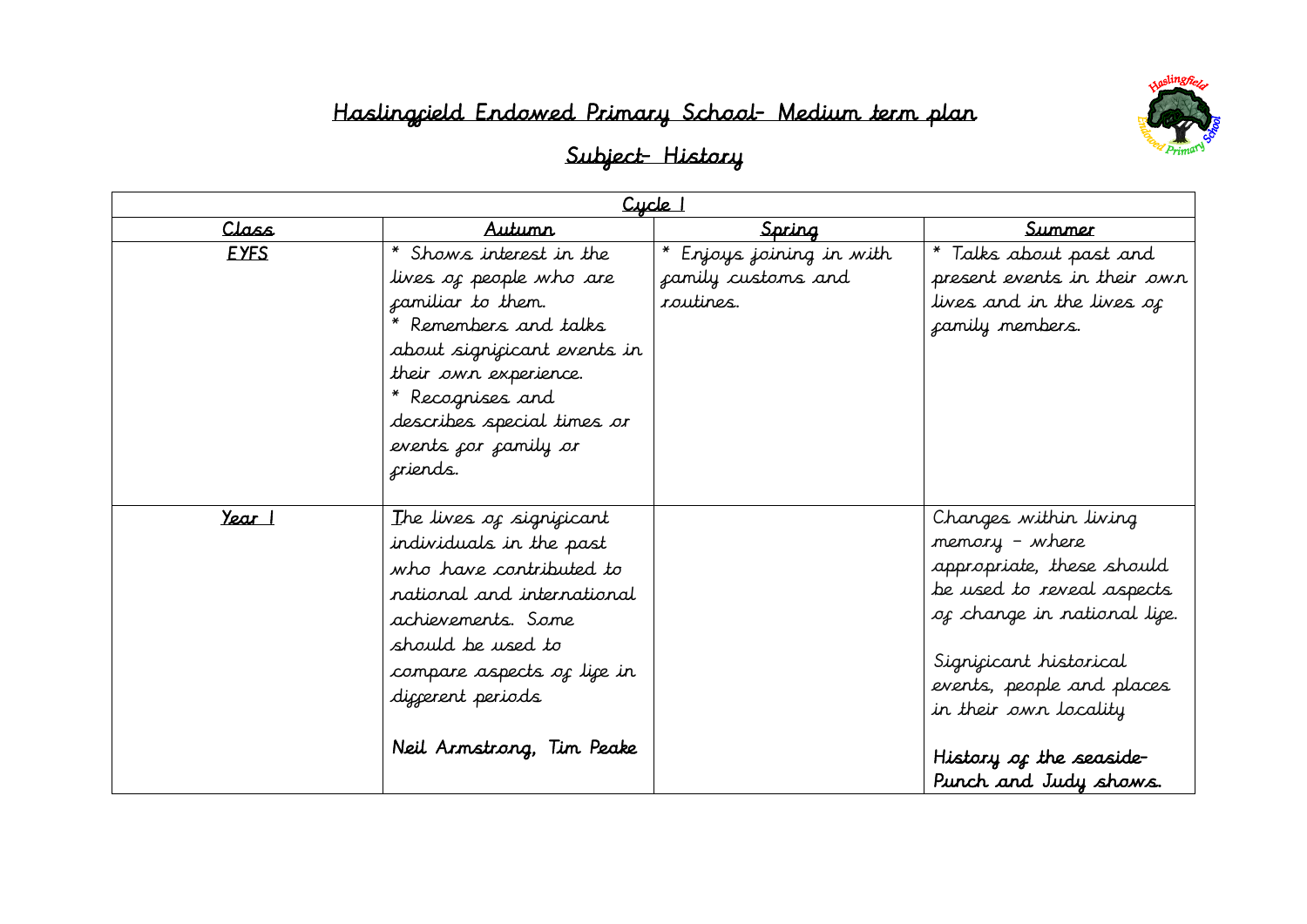

| $C$ ycle $\overline{\phantom{a}}$ |                                                                                                                                                                                                                                              |                                                             |                                                                                                                                                                                                                                                                      |
|-----------------------------------|----------------------------------------------------------------------------------------------------------------------------------------------------------------------------------------------------------------------------------------------|-------------------------------------------------------------|----------------------------------------------------------------------------------------------------------------------------------------------------------------------------------------------------------------------------------------------------------------------|
| Class                             | Autunn                                                                                                                                                                                                                                       | Spring                                                      | <u>Summer</u>                                                                                                                                                                                                                                                        |
| <b>EYFS</b>                       | * Shows interest in the<br>lives of people who are<br>camiliar to them.<br>Remembers and talks<br>about significant events in<br>their own experience.<br>* Recognises and<br>describes special times or<br>events for family or<br>criends. | * Enjoys joining in with<br>camily customs and<br>routines. | * Talks about past and<br>present events in their own<br>lives and in the lives of<br>camily members.                                                                                                                                                                |
| Year 1                            | The lives of significant<br>individuals in the past<br>who have contributed to<br>national and international<br>achievements. Some<br>should be used to<br>compare aspects of life in<br>diggerent periods<br>Neil Arnstrong, Tim Peake      |                                                             | Changes within living<br>memory - where<br>appropriate, these should<br>be used to reveal aspects<br>of change in national lice.<br>Signicicant historical<br>events, people and places<br>in their own locality<br>History of the seaside-<br>Punch and Judy shows. |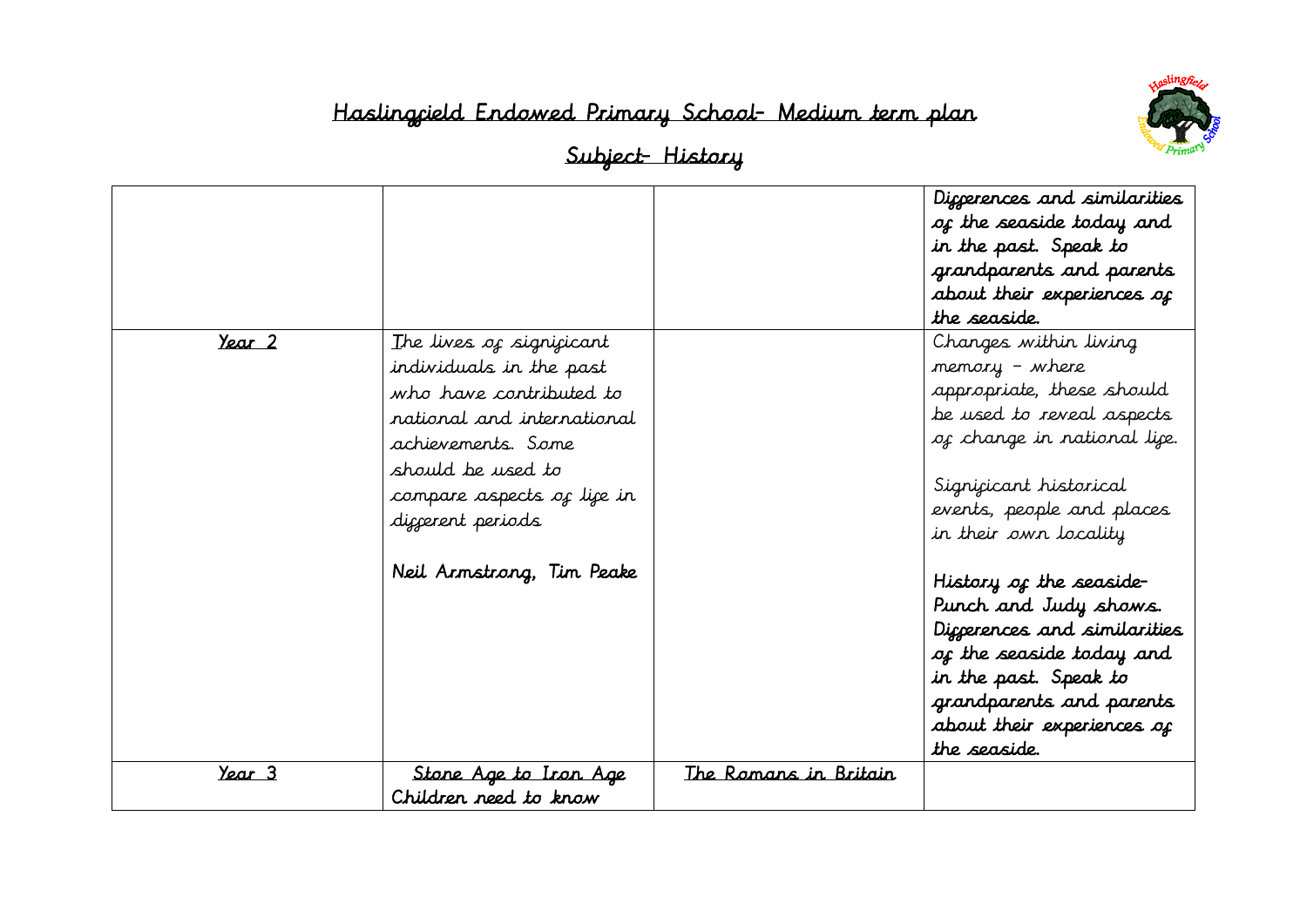

|        |                                                                                                                                                                                                                                         |                       | Diggerences and similarities<br>of the seaside today and<br>in the past. Speak to<br>grandparents and parents<br>about their experiences of<br>the seaside.                                                                                                                                                                                                                                                                         |
|--------|-----------------------------------------------------------------------------------------------------------------------------------------------------------------------------------------------------------------------------------------|-----------------------|-------------------------------------------------------------------------------------------------------------------------------------------------------------------------------------------------------------------------------------------------------------------------------------------------------------------------------------------------------------------------------------------------------------------------------------|
| Year 2 | The lives of significant<br>individuals in the past<br>who have contributed to<br>national and international<br>achievements. Some<br>should be used to<br>compare aspects of life in<br>diccerent periods<br>Neil Arnstrong, Tim Peake |                       | Changes within living<br>memory - where<br>appropriate, these should<br>be used to reveal aspects<br>of change in national lice.<br>Signicicant historical<br>events, people and places<br>in their own locality<br>History of the seaside-<br>Punch and Judy shows.<br>Diccerences and similarities<br>of the seaside today and<br>in the past. Speak to<br>grandparents and parents<br>about their experiences of<br>the seaside. |
| Year 3 | <u>Stone Age to Iron Age</u><br>Children need to know                                                                                                                                                                                   | The Romans in Britain |                                                                                                                                                                                                                                                                                                                                                                                                                                     |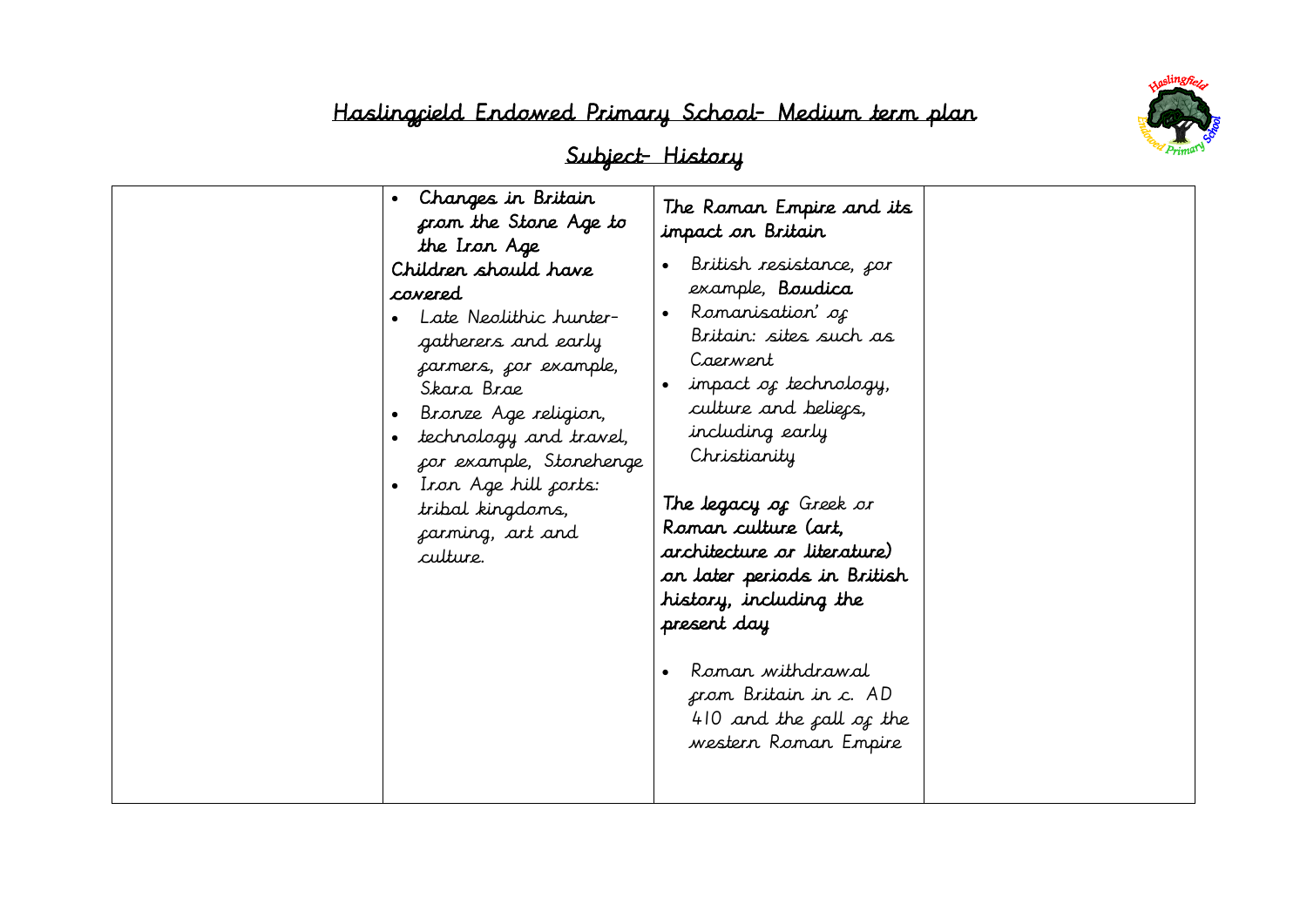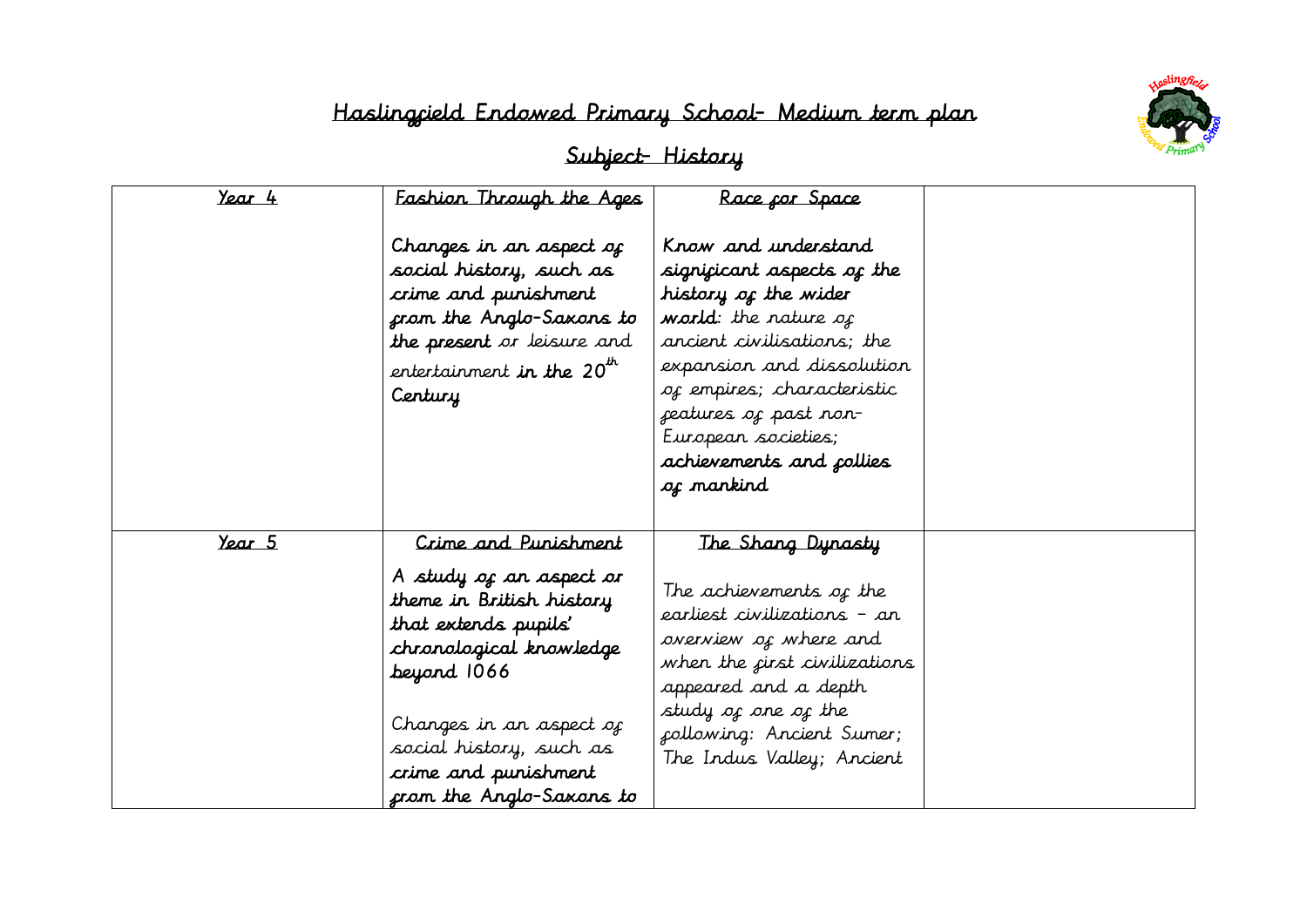

| Year 4 | Fashion Through the Ages<br>Changes in an aspect of<br>social history, such as<br>crime and punishment<br>from the Anglo-Saxons to<br>the present or leisure and<br>entertainment <b>in the 20<sup>th</sup></b><br>Century                              | Race cor Space<br>Know and understand<br>significant aspects of the<br>history of the wider<br>world: the nature of<br>ancient civilisations; the<br>expansion and dissolution<br>of empires; characteristic<br>features of past non-<br>European societies;<br>achievements and collies<br>of mankind |  |
|--------|---------------------------------------------------------------------------------------------------------------------------------------------------------------------------------------------------------------------------------------------------------|--------------------------------------------------------------------------------------------------------------------------------------------------------------------------------------------------------------------------------------------------------------------------------------------------------|--|
| Year 5 | Crime and Punishment<br>A study of an aspect or<br>theme in British history<br>that extends pupils'<br>chronological knowledge<br>beyard 1066<br>Changes in an aspect of<br>social history, such as<br>crime and punishment<br>from the Anglo-Saxons to | The Shang Dynasty<br>The achievements of the<br>earliest civilizations – an<br>overview of where and<br>when the <i>first civilizations</i><br>appeared and a depth<br>study of one of the<br>following: Ancient Sumer;<br>The Indus Valley; Ancient                                                   |  |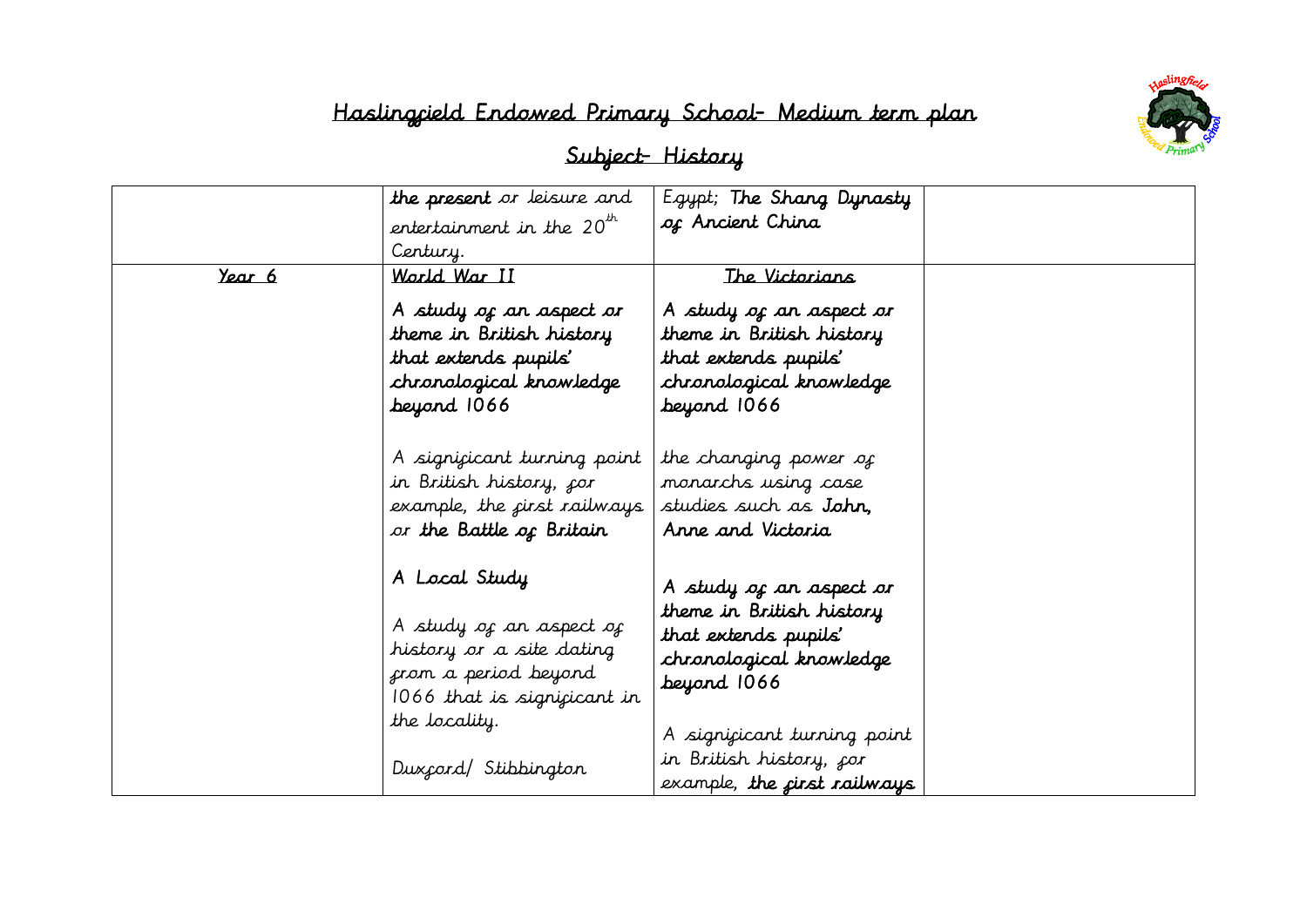|               | the present or leisure and                                                                                                                                           | Egypt; The Shang Dynasty                                                                                                                                                                    |  |
|---------------|----------------------------------------------------------------------------------------------------------------------------------------------------------------------|---------------------------------------------------------------------------------------------------------------------------------------------------------------------------------------------|--|
|               | entertainment in the $20^{th}$                                                                                                                                       | of Ancient China                                                                                                                                                                            |  |
|               | Century.                                                                                                                                                             |                                                                                                                                                                                             |  |
| <u>Year 6</u> | World War II                                                                                                                                                         | The Victorians                                                                                                                                                                              |  |
|               | A study of an aspect or<br>theme in British history<br>that extends pupils'<br>chronological knowledge<br>beyord 1066                                                | A study of an aspect or<br>theme in British history<br>that extends pupils'<br>chronological knowledge<br>beyond 1066                                                                       |  |
|               | A significant turning point<br>in British history, <sub>f</sub> or<br>example, the first railways<br>or the Battle of Britain                                        | the changing power of<br>monarchs using case<br>studies such as <b>John</b> ,<br>Anne and Victoria                                                                                          |  |
|               | A Local Study<br>A study of an aspect of<br>history or a site dating<br>from a period beyond<br>1066 that is significant in<br>the locality.<br>Dux cord/Stibbington | A study of an aspect or<br>theme in British history<br>that extends pupils'<br>chronological knowledge<br>beyond 1066<br>A signicicant turning point<br>in British history, <sub>f</sub> or |  |
|               |                                                                                                                                                                      | example, the <i>first railways</i>                                                                                                                                                          |  |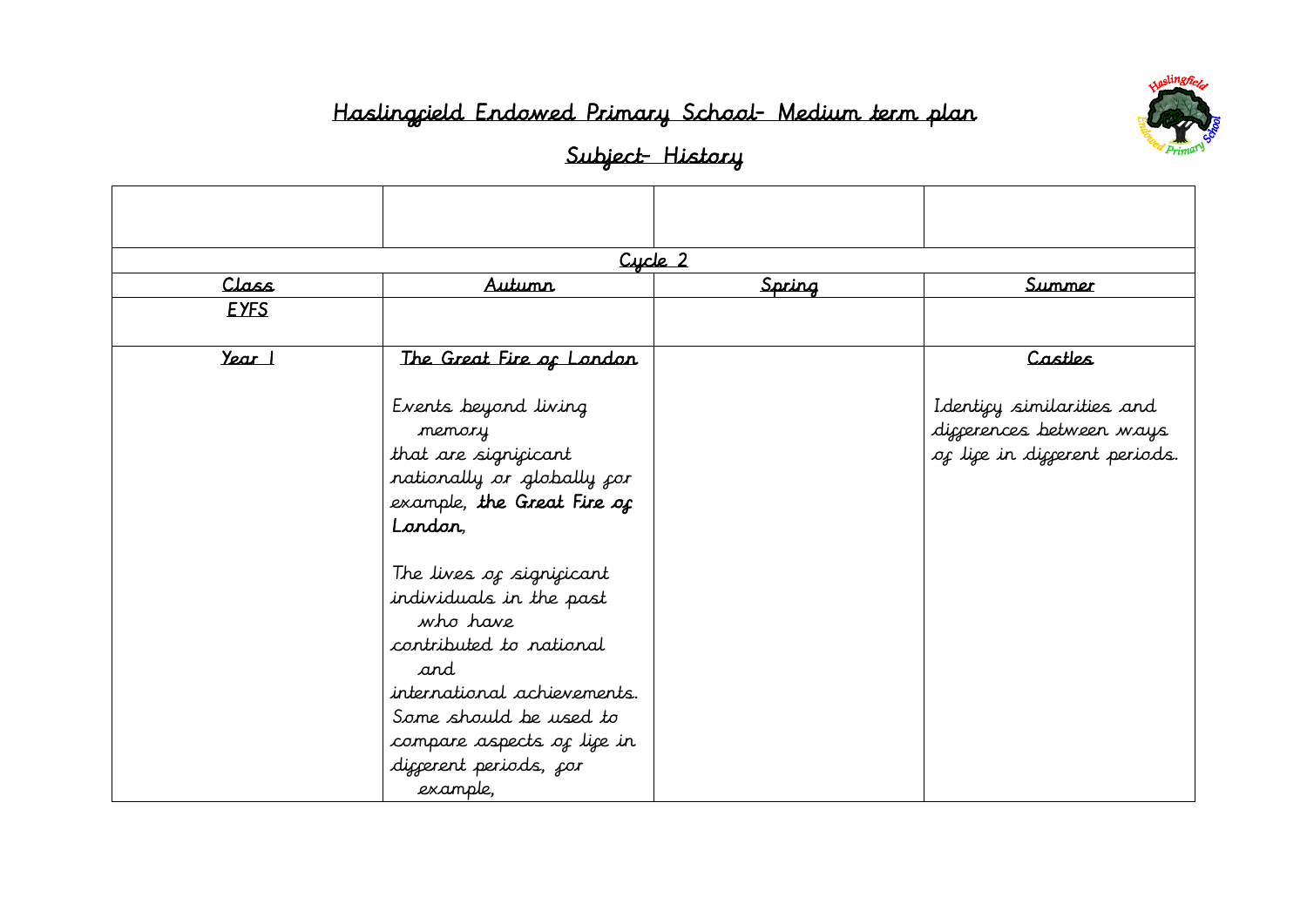

|             |                                                                                                                                                                                                                                                                                                                                                                | Cycle 2 |                                                                                        |
|-------------|----------------------------------------------------------------------------------------------------------------------------------------------------------------------------------------------------------------------------------------------------------------------------------------------------------------------------------------------------------------|---------|----------------------------------------------------------------------------------------|
| Class       | <i><u>Autumn</u></i>                                                                                                                                                                                                                                                                                                                                           | Spring  | Summer                                                                                 |
| <b>EYFS</b> |                                                                                                                                                                                                                                                                                                                                                                |         |                                                                                        |
| Year 1      | The Great Fire of Landan                                                                                                                                                                                                                                                                                                                                       |         | Castles                                                                                |
|             | Events beyond living<br>memory<br>that are significant<br>nationally or globally for<br>example, the Great Fire of<br>Landan<br>The lives of significant<br>individuals in the past<br>who have<br>contributed to national<br>and<br>international achievements.<br>Some should be used to<br>compare aspects of life in<br>diggerent periods, gor<br>example, |         | Identicy similarities and<br>diggerences between ways<br>of life in different periods. |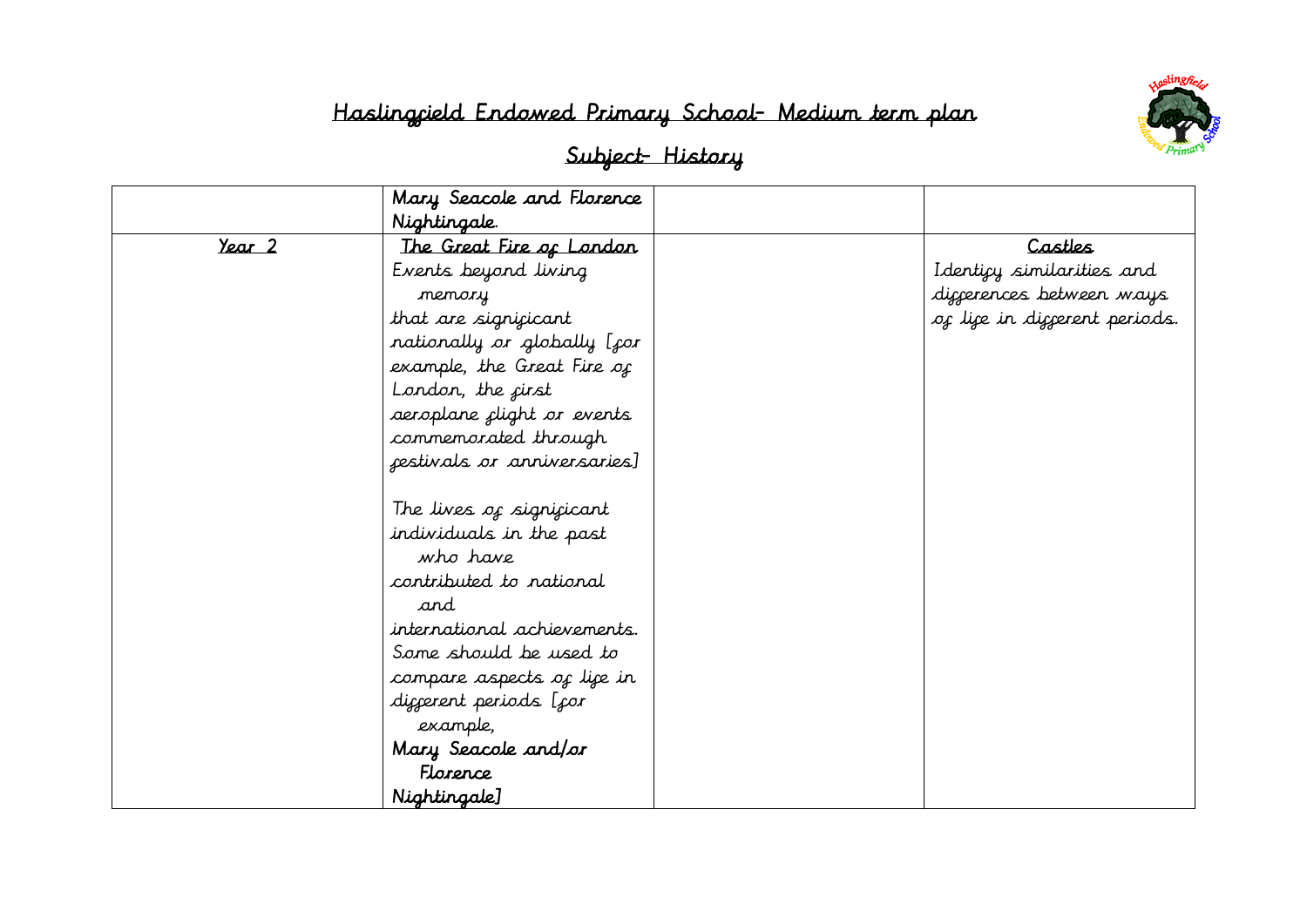

|        | Mary Seacole and Florence   |                               |
|--------|-----------------------------|-------------------------------|
|        | Nightingale.                |                               |
| Year 2 | The Great Fire of Landan    | Castles                       |
|        | Events beyond living        | Identicy similarities and     |
|        | memory                      | diccerences between ways      |
|        | that are significant        | of life in different periods. |
|        | nationally or globally [for |                               |
|        | example, the Great Fire of  |                               |
|        | London, the cirst           |                               |
|        | aeroplane clight or events  |                               |
|        | commemorated through        |                               |
|        | festivals or anniversaries] |                               |
|        |                             |                               |
|        | The lives of significant    |                               |
|        | individuals in the past     |                               |
|        | who have                    |                               |
|        | contributed to national     |                               |
|        | and                         |                               |
|        | international achievements. |                               |
|        | Some should be used to      |                               |
|        | compare aspects of life in  |                               |
|        | diggerent periods [gor      |                               |
|        | example,                    |                               |
|        | Mary Seacole and/or         |                               |
|        | Florence                    |                               |
|        | Nightingale]                |                               |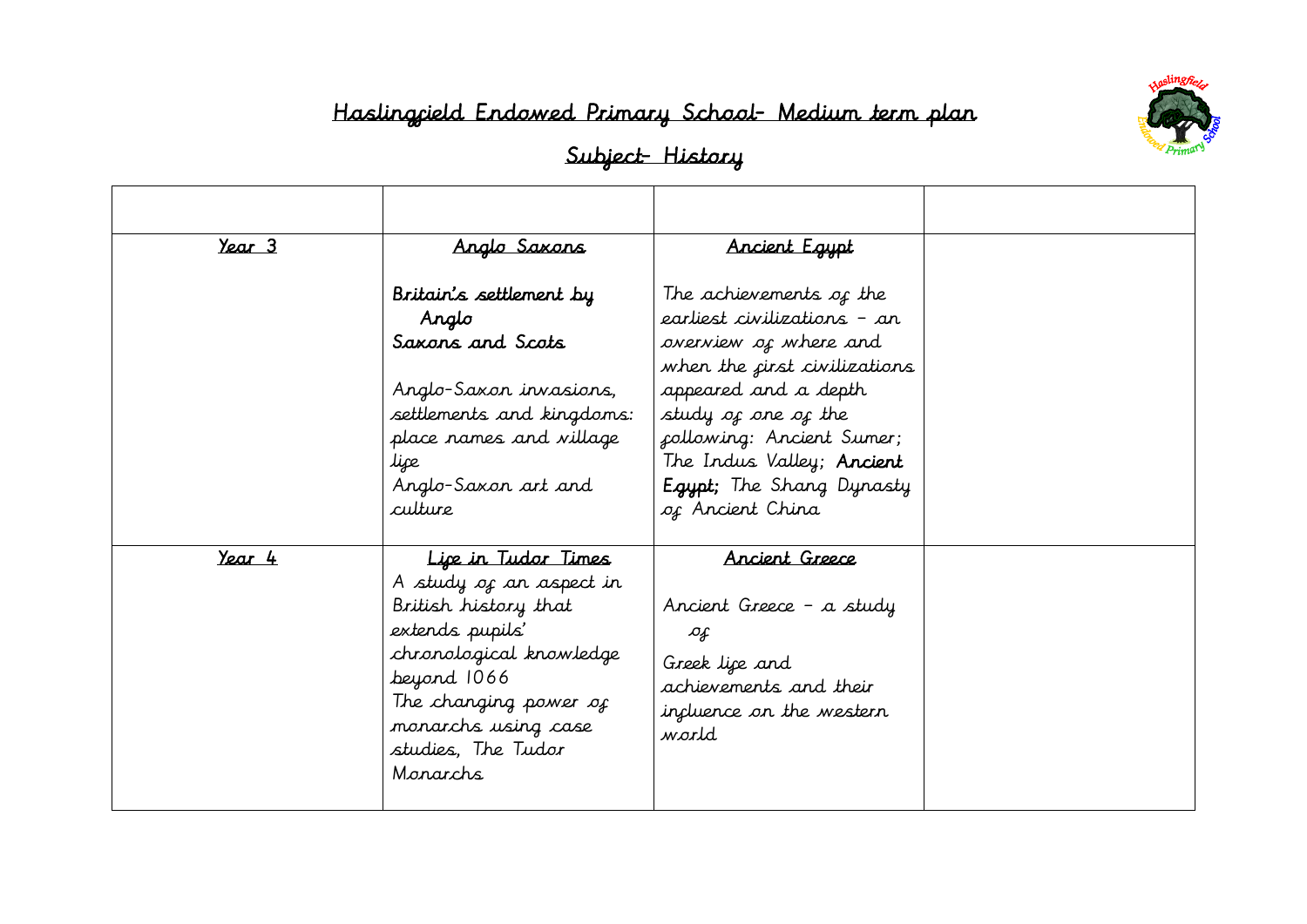

| Year 3 | Anglo Saxons                                                                                                                                                                                                          | Ancient Egypt                                                                                                                     |  |
|--------|-----------------------------------------------------------------------------------------------------------------------------------------------------------------------------------------------------------------------|-----------------------------------------------------------------------------------------------------------------------------------|--|
|        | Britain's settlement by<br>Anglo                                                                                                                                                                                      | The achievements of the<br>earliest civilizations – an                                                                            |  |
|        | Saxons and Scots                                                                                                                                                                                                      | overview of where and<br>when the <i>first civilizations</i>                                                                      |  |
|        | Anglo-Saxon invasions,<br>settlements and kingdoms:                                                                                                                                                                   | appeared and a depth<br>study of one of the                                                                                       |  |
|        | place rames and village<br>lipe                                                                                                                                                                                       | collowing: Ancient Sumer;<br>The Indus Valley; Ancient                                                                            |  |
|        | Anglo-Saxon art and<br>culture                                                                                                                                                                                        | <b>Egypt</b> ; The Shang Dynasty<br>of Ancient China                                                                              |  |
| Year 4 | Lipe in Tudor Times<br>A study of an aspect in<br>British history that<br>extends pupils'<br>chronological knowledge<br>beyond 1066<br>The changing power of<br>monarchs using case<br>studies, The Tudor<br>Monarchs | Ancient Greece<br>Ancient Greece - a study<br>Ф£<br>Greek lice and<br>achievements and their<br>incluence on the western<br>world |  |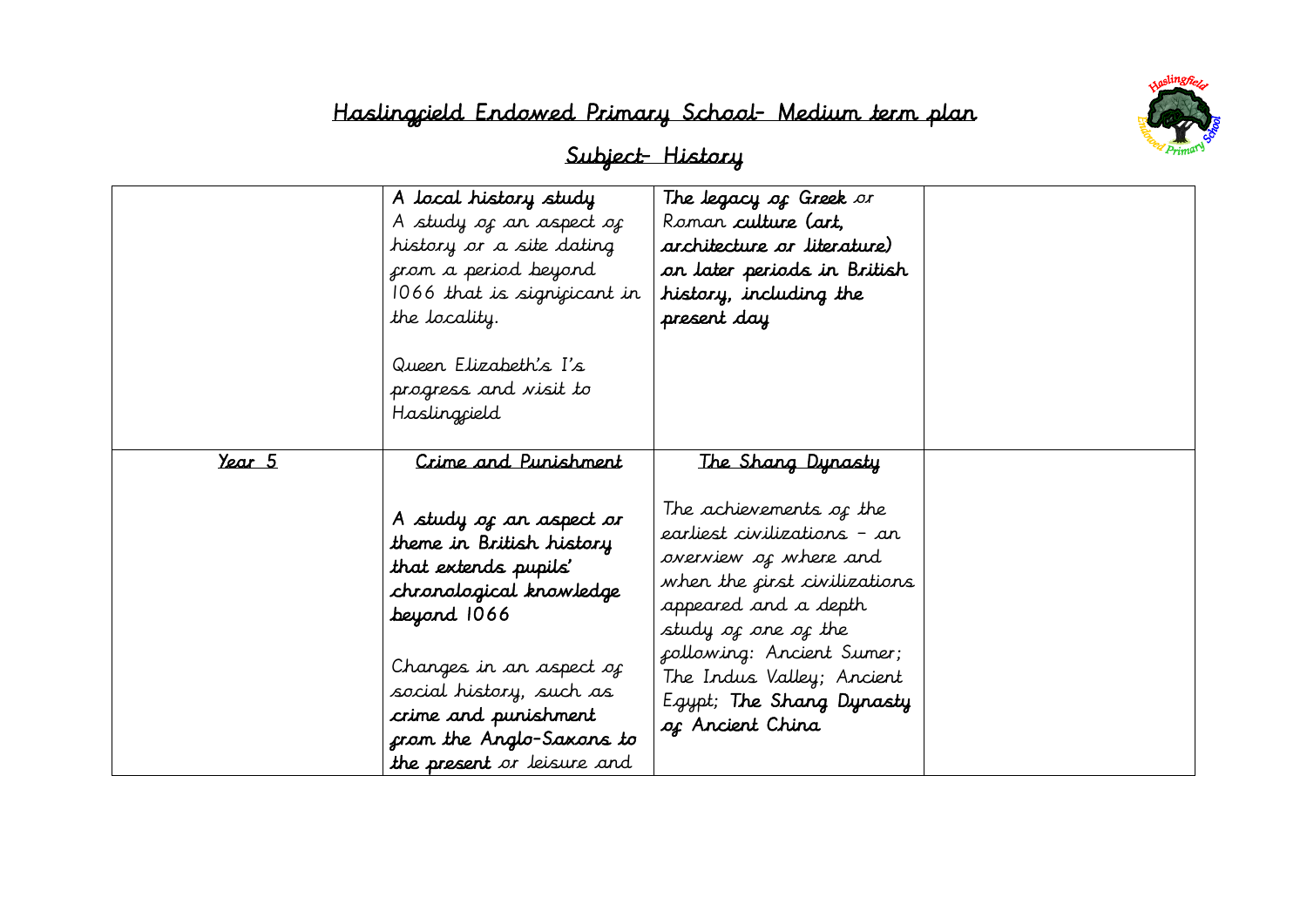

|               | A local history study<br>A study of an aspect of<br>history or a site dating<br>from a period beyond<br>1066 that is significant in<br>the locality.<br>Queen Elizabeth's I's<br>progress and visit to<br>Haslingcield                                                                | The legacy of Greek or<br>Roman culture (art,<br>architecture or literature)<br>on later periods in British<br>history, including the<br>present day                                                                                                                                                 |  |
|---------------|---------------------------------------------------------------------------------------------------------------------------------------------------------------------------------------------------------------------------------------------------------------------------------------|------------------------------------------------------------------------------------------------------------------------------------------------------------------------------------------------------------------------------------------------------------------------------------------------------|--|
| <u>Year 5</u> | Crime and Punishment<br>A study of an aspect or<br>theme in British history<br>that extends pupils'<br>chronological knowledge<br>beyard 1066<br>Changes in an aspect of<br>social history, such as<br>crime and punishment<br>from the Anglo-Saxons to<br>the present or leisure and | The Shang Dynasty<br>The achievements of the<br>earliest civilizations – an<br>overview of where and<br>when the <i>first civilizations</i><br>appeared and a depth<br>study of one of the<br>collowing: Ancient Sumer;<br>The Indus Valley; Ancient<br>Egypt; The Shang Dynasty<br>of Ancient China |  |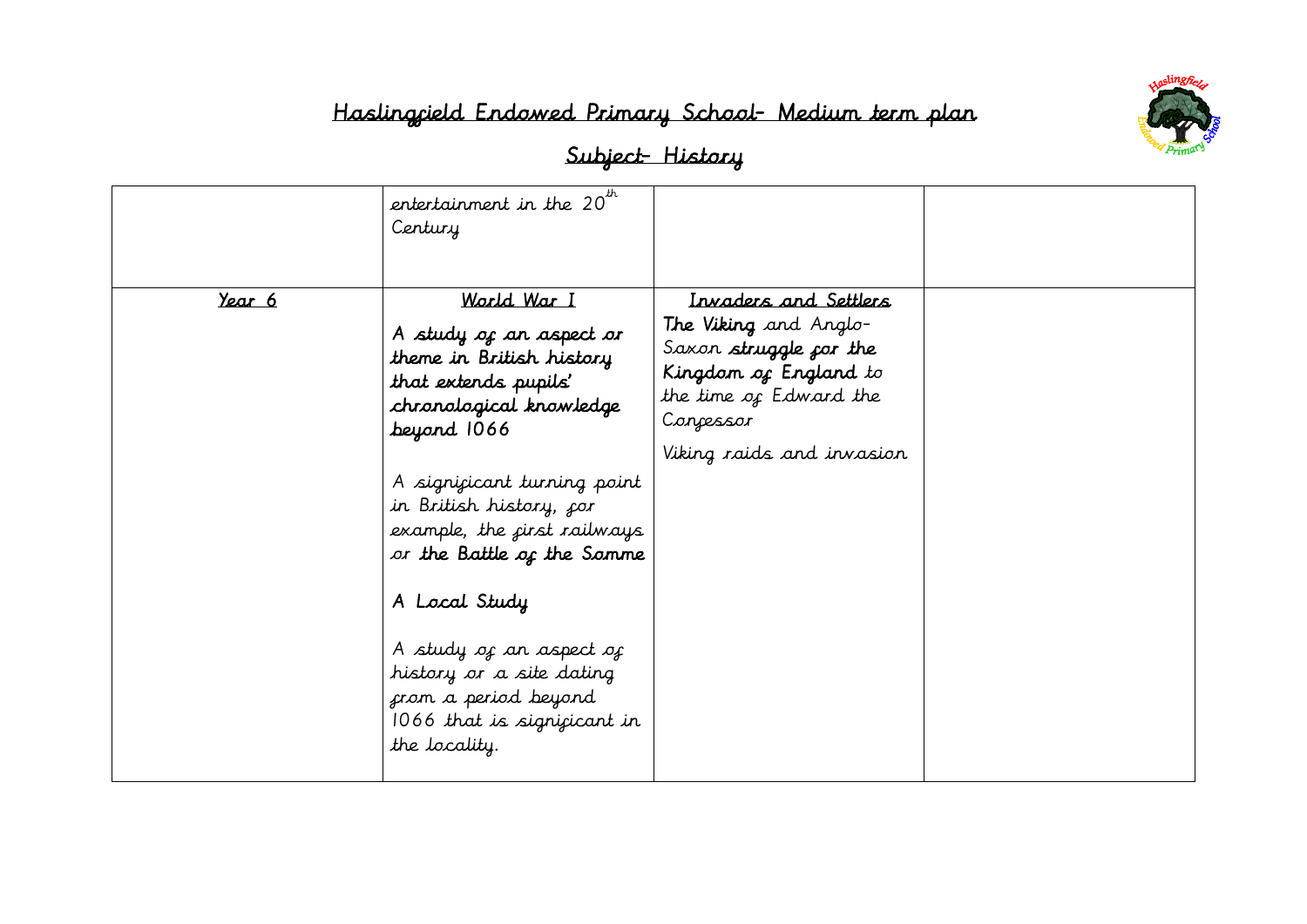

|               | entertainment in the $20^{th}$<br>Century                                                                                                                                                                                                                                                                                                                                                                          |                                                                                                                                                                       |  |
|---------------|--------------------------------------------------------------------------------------------------------------------------------------------------------------------------------------------------------------------------------------------------------------------------------------------------------------------------------------------------------------------------------------------------------------------|-----------------------------------------------------------------------------------------------------------------------------------------------------------------------|--|
| <u>Year 6</u> | World War I<br>A study of an aspect or<br>theme in British history<br>that extends pupils'<br>chronological knowledge<br>beyond 1066<br>A significant turning point<br>in British history, cor<br>example, the <i>first railways</i><br>or the Battle of the Somme<br>A Local Study<br>A study of an aspect of<br>history or a site dating<br>from a period beyond<br>1066 that is significant in<br>the locality. | Irvaders and Settlers<br>The Viking and Anglo-<br>Saxon struggle for the<br>Kingdom of England to<br>the time of Edward the<br>Concessor<br>Viking raids and invasion |  |